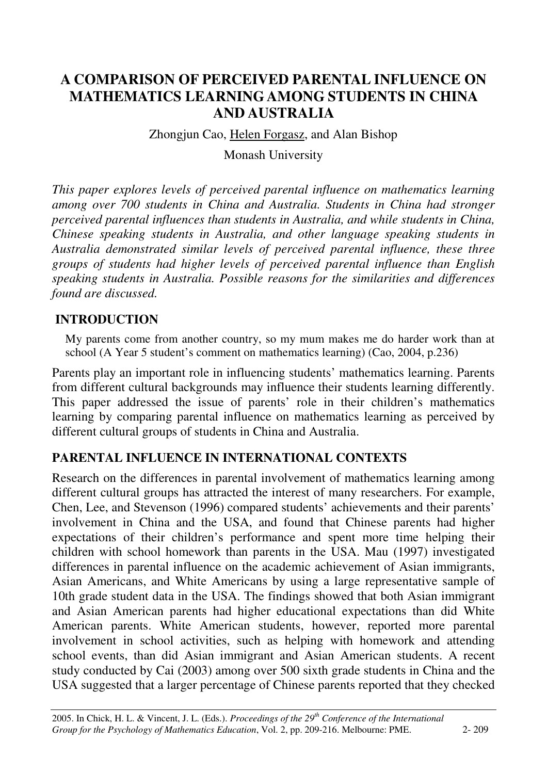# **A COMPARISON OF PERCEIVED PARENTAL INFLUENCE ON MATHEMATICS LEARNINGAMONG STUDENTS IN CHINA AND AUSTRALIA**

Zhongjun Cao, Helen Forgasz, and Alan Bishop

Monash University

*This paper explores levels of perceived parental influence on mathematics learning among over 700 students in China and Australia. Students in China had stronger perceived parental influences than students in Australia, and while students in China, Chinese speaking students in Australia, and other language speaking students in Australia demonstrated similar levels of perceived parental influence, these three groups of students had higher levels of perceived parental influence than English speaking students in Australia. Possible reasons for the similarities and differences found are discussed.*

### **INTRODUCTION**

My parents come from another country, so my mum makes me do harder work than at school (A Year 5 student's comment on mathematics learning) (Cao, 2004, p.236)

Parents play an important role in influencing students' mathematics learning. Parents from different cultural backgrounds may influence their students learning differently. This paper addressed the issue of parents' role in their children's mathematics learning by comparing parental influence on mathematics learning as perceived by different cultural groups of students in China and Australia.

### **PARENTAL INFLUENCE IN INTERNATIONAL CONTEXTS**

Research on the differences in parental involvement of mathematics learning among different cultural groups has attracted the interest of many researchers. For example, Chen, Lee, and Stevenson (1996) compared students' achievements and their parents' involvement in China and the USA, and found that Chinese parents had higher expectations of their children's performance and spent more time helping their children with school homework than parents in the USA. Mau (1997) investigated differences in parental influence on the academic achievement of Asian immigrants, Asian Americans, and White Americans by using a large representative sample of 10th grade student data in the USA. The findings showed that both Asian immigrant and Asian American parents had higher educational expectations than did White American parents. White American students, however, reported more parental involvement in school activities, such as helping with homework and attending school events, than did Asian immigrant and Asian American students. A recent study conducted by Cai (2003) among over 500 sixth grade students in China and the USA suggested that a larger percentage of Chinese parents reported that they checked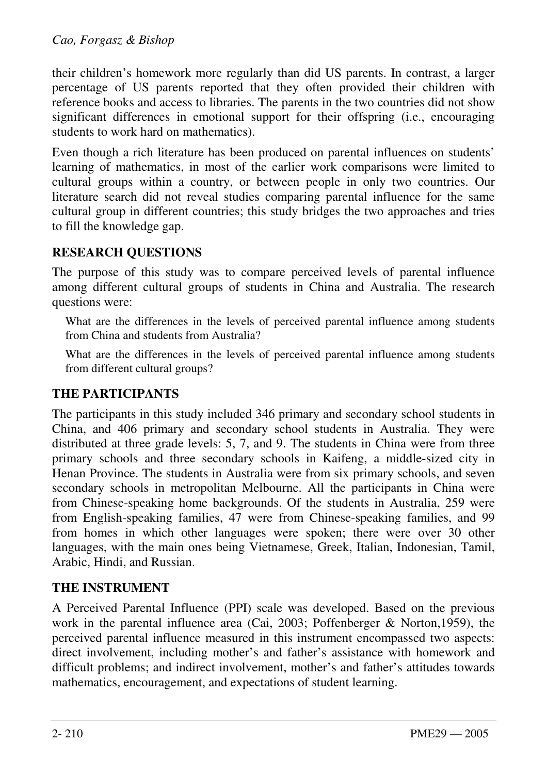their children's homework more regularly than did US parents. In contrast, a larger percentage of US parents reported that they often provided their children with reference books and access to libraries. The parents in the two countries did not show significant differences in emotional support for their offspring (i.e., encouraging students to work hard on mathematics).

Even though a rich literature has been produced on parental influences on students' learning of mathematics, in most of the earlier work comparisons were limited to cultural groups within a country, or between people in only two countries. Our literature search did not reveal studies comparing parental influence for the same cultural group in different countries; this study bridges the two approaches and tries to fill the knowledge gap.

## **RESEARCH QUESTIONS**

The purpose of this study was to compare perceived levels of parental influence among different cultural groups of students in China and Australia. The research questions were:

What are the differences in the levels of perceived parental influence among students from China and students from Australia?

What are the differences in the levels of perceived parental influence among students from different cultural groups?

### **THE PARTICIPANTS**

The participants in this study included 346 primary and secondary school students in China, and 406 primary and secondary school students in Australia. They were distributed at three grade levels: 5, 7, and 9. The students in China were from three primary schools and three secondary schools in Kaifeng, a middle-sized city in Henan Province. The students in Australia were from six primary schools, and seven secondary schools in metropolitan Melbourne. All the participants in China were from Chinese-speaking home backgrounds. Of the students in Australia, 259 were from English-speaking families, 47 were from Chinese-speaking families, and 99 from homes in which other languages were spoken; there were over 30 other languages, with the main ones being Vietnamese, Greek, Italian, Indonesian, Tamil, Arabic, Hindi, and Russian.

### **THE INSTRUMENT**

A Perceived Parental Influence (PPI) scale was developed. Based on the previous work in the parental influence area (Cai, 2003; Poffenberger & Norton,1959), the perceived parental influence measured in this instrument encompassed two aspects: direct involvement, including mother's and father's assistance with homework and difficult problems; and indirect involvement, mother's and father's attitudes towards mathematics, encouragement, and expectations of student learning.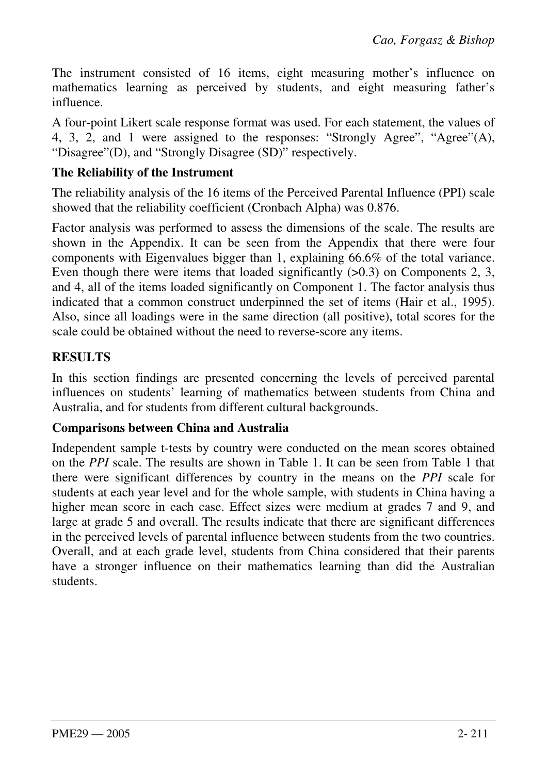The instrument consisted of 16 items, eight measuring mother's influence on mathematics learning as perceived by students, and eight measuring father's influence.

A four-point Likert scale response format was used. For each statement, the values of 4, 3, 2, and 1 were assigned to the responses: "Strongly Agree", "Agree"(A), "Disagree"(D), and "Strongly Disagree (SD)" respectively.

#### **The Reliability of the Instrument**

The reliability analysis of the 16 items of the Perceived Parental Influence (PPI) scale showed that the reliability coefficient (Cronbach Alpha) was 0.876.

Factor analysis was performed to assess the dimensions of the scale. The results are shown in the Appendix. It can be seen from the Appendix that there were four components with Eigenvalues bigger than 1, explaining 66.6% of the total variance. Even though there were items that loaded significantly ( $> 0.3$ ) on Components 2, 3, and 4, all of the items loaded significantly on Component 1. The factor analysis thus indicated that a common construct underpinned the set of items (Hair et al., 1995). Also, since all loadings were in the same direction (all positive), total scores for the scale could be obtained without the need to reverse-score any items.

### **RESULTS**

In this section findings are presented concerning the levels of perceived parental influences on students' learning of mathematics between students from China and Australia, and for students from different cultural backgrounds.

#### **Comparisons between China and Australia**

Independent sample t-tests by country were conducted on the mean scores obtained on the *PPI* scale. The results are shown in Table 1. It can be seen from Table 1 that there were significant differences by country in the means on the *PPI* scale for students at each year level and for the whole sample, with students in China having a higher mean score in each case. Effect sizes were medium at grades 7 and 9, and large at grade 5 and overall. The results indicate that there are significant differences in the perceived levels of parental influence between students from the two countries. Overall, and at each grade level, students from China considered that their parents have a stronger influence on their mathematics learning than did the Australian students.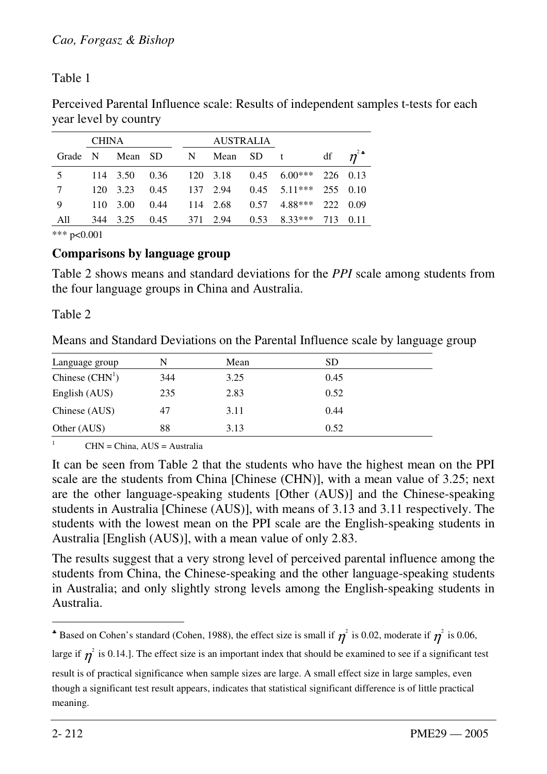## Table 1

|                 | <b>CHINA</b> |                           |                             | <b>AUSTRALIA</b> |  |  |                                              |    |  |
|-----------------|--------------|---------------------------|-----------------------------|------------------|--|--|----------------------------------------------|----|--|
|                 |              |                           | Grade N Mean SD N Mean SD t |                  |  |  |                                              | df |  |
| 5               |              |                           |                             |                  |  |  | 114 3.50 0.36 120 3.18 0.45 6.00*** 226 0.13 |    |  |
| $7\phantom{.0}$ |              |                           |                             |                  |  |  | 120 3.23 0.45 137 2.94 0.45 5.11*** 255 0.10 |    |  |
| 9               |              | $110\quad 3.00\quad 0.44$ |                             |                  |  |  | 114 2.68 0.57 4.88*** 222 0.09               |    |  |
| All             |              |                           |                             |                  |  |  | 344 3.25 0.45 371 2.94 0.53 8.33*** 713 0.11 |    |  |

Perceived Parental Influence scale: Results of independent samples t-tests for each year level by country

\*\*\* p<0.001

#### **Comparisons by language group**

Table 2 shows means and standard deviations for the *PPI* scale among students from the four language groups in China and Australia.

Table 2

Means and Standard Deviations on the Parental Influence scale by language group

| Language group    | N   | Mean | SD   |
|-------------------|-----|------|------|
| Chinese $(CHN^1)$ | 344 | 3.25 | 0.45 |
| English (AUS)     | 235 | 2.83 | 0.52 |
| Chinese (AUS)     | 47  | 3.11 | 0.44 |
| Other (AUS)       | 88  | 3.13 | 0.52 |

<sup>1</sup> CHN = China,  $AUS =$  Australia

It can be seen from Table 2 that the students who have the highest mean on the PPI scale are the students from China [Chinese (CHN)], with a mean value of 3.25; next are the other language-speaking students [Other (AUS)] and the Chinese-speaking students in Australia [Chinese (AUS)], with means of 3.13 and 3.11 respectively. The students with the lowest mean on the PPI scale are the English-speaking students in Australia [English (AUS)], with a mean value of only 2.83.

The results suggest that a very strong level of perceived parental influence among the students from China, the Chinese-speaking and the other language-speaking students in Australia; and only slightly strong levels among the English-speaking students in Australia.

large if  $\eta^2$  is 0.14.]. The effect size is an important index that should be examined to see if a significant test

<sup>\*</sup> Based on Cohen's standard (Cohen, 1988), the effect size is small if  $\eta^2$  is 0.02, moderate if  $\eta^2$  is 0.06,

result is of practical significance when sample sizes are large. A small effect size in large samples, even though a significant test result appears, indicates that statistical significant difference is of little practical meaning.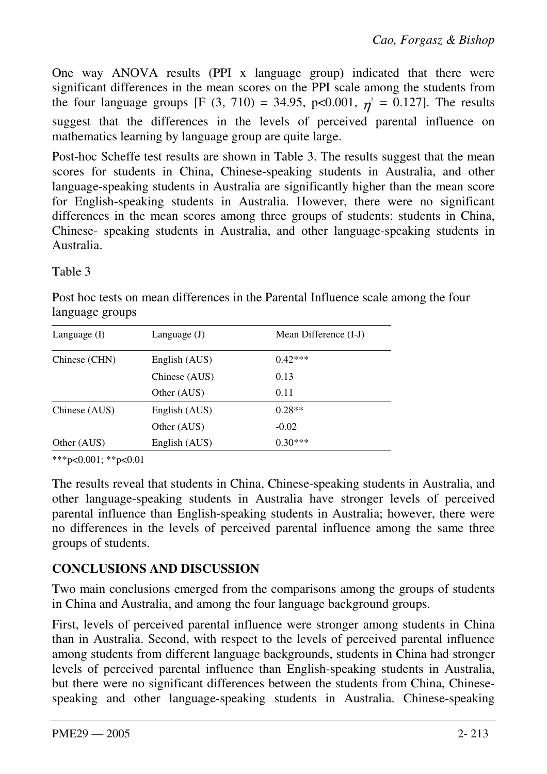One way ANOVA results (PPI x language group) indicated that there were significant differences in the mean scores on the PPI scale among the students from the four language groups [F (3, 710) = 34.95, p<0.001,  $\eta^2 = 0.127$ ]. The results suggest that the differences in the levels of perceived parental influence on mathematics learning by language group are quite large.

Post-hoc Scheffe test results are shown in Table 3. The results suggest that the mean scores for students in China, Chinese-speaking students in Australia, and other language-speaking students in Australia are significantly higher than the mean score for English-speaking students in Australia. However, there were no significant differences in the mean scores among three groups of students: students in China, Chinese- speaking students in Australia, and other language-speaking students in Australia.

Table 3

Post hoc tests on mean differences in the Parental Influence scale among the four language groups

| Language $(I)$ | Language $(J)$ | Mean Difference (I-J) |
|----------------|----------------|-----------------------|
| Chinese (CHN)  | English (AUS)  | $0.42***$             |
|                | Chinese (AUS)  | 0.13                  |
|                | Other (AUS)    | 0.11                  |
| Chinese (AUS)  | English (AUS)  | $0.28**$              |
|                | Other (AUS)    | $-0.02$               |
| Other (AUS)    | English (AUS)  | $0.30***$             |
|                |                |                       |

\*\*\*p<0.001; \*\*p<0.01

The results reveal that students in China, Chinese-speaking students in Australia, and other language-speaking students in Australia have stronger levels of perceived parental influence than English-speaking students in Australia; however, there were no differences in the levels of perceived parental influence among the same three groups of students.

## **CONCLUSIONS AND DISCUSSION**

Two main conclusions emerged from the comparisons among the groups of students in China and Australia, and among the four language background groups.

First, levels of perceived parental influence were stronger among students in China than in Australia. Second, with respect to the levels of perceived parental influence among students from different language backgrounds, students in China had stronger levels of perceived parental influence than English-speaking students in Australia, but there were no significant differences between the students from China, Chinesespeaking and other language-speaking students in Australia. Chinese-speaking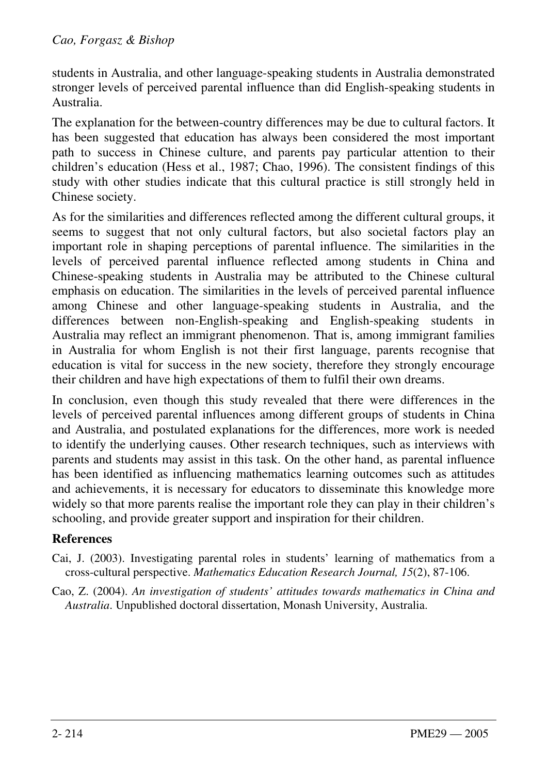students in Australia, and other language-speaking students in Australia demonstrated stronger levels of perceived parental influence than did English-speaking students in Australia.

The explanation for the between-country differences may be due to cultural factors. It has been suggested that education has always been considered the most important path to success in Chinese culture, and parents pay particular attention to their children's education (Hess et al., 1987; Chao, 1996). The consistent findings of this study with other studies indicate that this cultural practice is still strongly held in Chinese society.

As for the similarities and differences reflected among the different cultural groups, it seems to suggest that not only cultural factors, but also societal factors play an important role in shaping perceptions of parental influence. The similarities in the levels of perceived parental influence reflected among students in China and Chinese-speaking students in Australia may be attributed to the Chinese cultural emphasis on education. The similarities in the levels of perceived parental influence among Chinese and other language-speaking students in Australia, and the differences between non-English-speaking and English-speaking students in Australia may reflect an immigrant phenomenon. That is, among immigrant families in Australia for whom English is not their first language, parents recognise that education is vital for success in the new society, therefore they strongly encourage their children and have high expectations of them to fulfil their own dreams.

In conclusion, even though this study revealed that there were differences in the levels of perceived parental influences among different groups of students in China and Australia, and postulated explanations for the differences, more work is needed to identify the underlying causes. Other research techniques, such as interviews with parents and students may assist in this task. On the other hand, as parental influence has been identified as influencing mathematics learning outcomes such as attitudes and achievements, it is necessary for educators to disseminate this knowledge more widely so that more parents realise the important role they can play in their children's schooling, and provide greater support and inspiration for their children.

## **References**

- Cai, J. (2003). Investigating parental roles in students' learning of mathematics from a cross-cultural perspective. *Mathematics Education Research Journal, 15*(2), 87-106.
- Cao, Z. (2004). *An investigation of students' attitudes towards mathematics in China and Australia*. Unpublished doctoral dissertation, Monash University, Australia.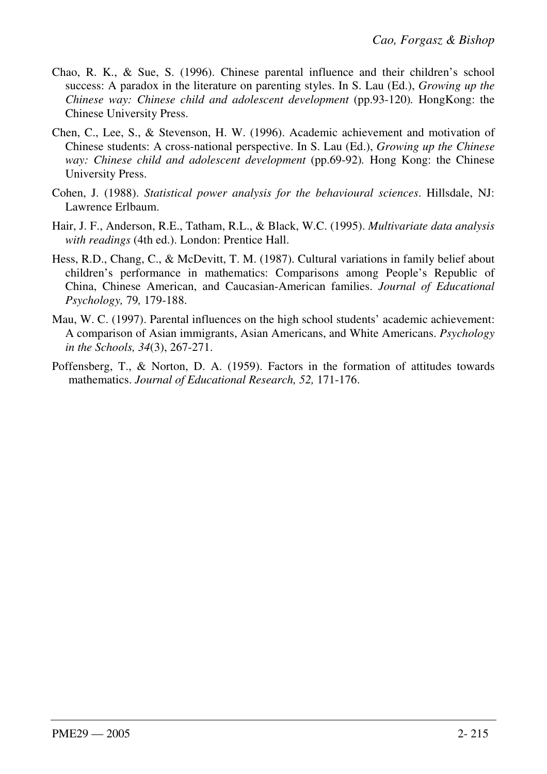- Chao, R. K., & Sue, S. (1996). Chinese parental influence and their children's school success: A paradox in the literature on parenting styles. In S. Lau (Ed.), *Growing up the Chinese way: Chinese child and adolescent development* (pp.93-120)*.* HongKong: the Chinese University Press.
- Chen, C., Lee, S., & Stevenson, H. W. (1996). Academic achievement and motivation of Chinese students: A cross-national perspective. In S. Lau (Ed.), *Growing up the Chinese way: Chinese child and adolescent development* (pp.69-92)*.* Hong Kong: the Chinese University Press.
- Cohen, J. (1988). *Statistical power analysis for the behavioural sciences*. Hillsdale, NJ: Lawrence Erlbaum.
- Hair, J. F., Anderson, R.E., Tatham, R.L., & Black, W.C. (1995). *Multivariate data analysis with readings* (4th ed.). London: Prentice Hall.
- Hess, R.D., Chang, C., & McDevitt, T. M. (1987). Cultural variations in family belief about children's performance in mathematics: Comparisons among People's Republic of China, Chinese American, and Caucasian-American families. *Journal of Educational Psychology,* 79*,* 179-188.
- Mau, W. C. (1997). Parental influences on the high school students' academic achievement: A comparison of Asian immigrants, Asian Americans, and White Americans. *Psychology in the Schools, 34*(3), 267-271.
- Poffensberg, T., & Norton, D. A. (1959). Factors in the formation of attitudes towards mathematics. *Journal of Educational Research, 52,* 171-176.